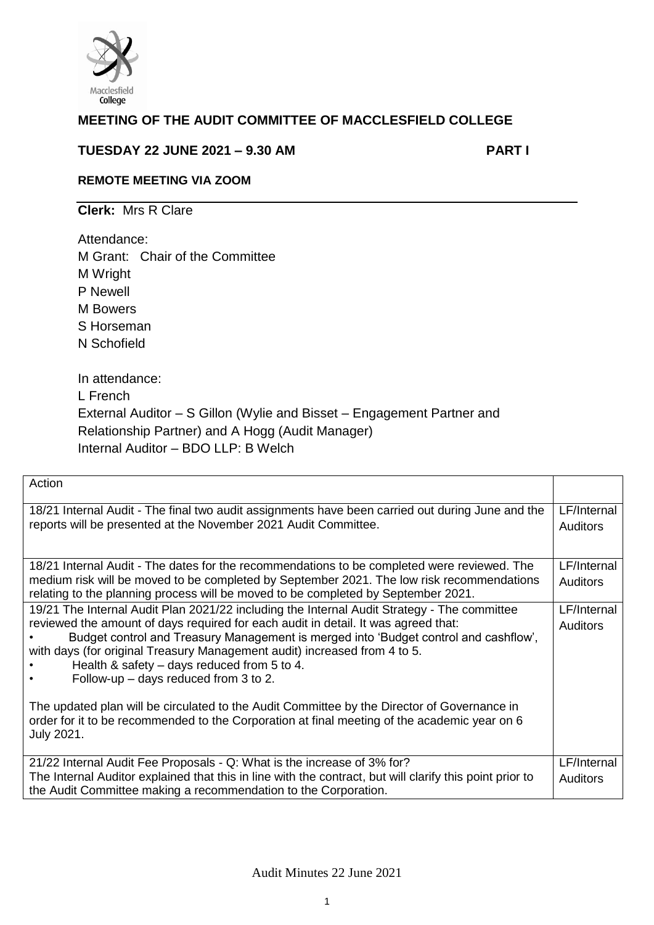

# **MEETING OF THE AUDIT COMMITTEE OF MACCLESFIELD COLLEGE**

## **TUESDAY 22 JUNE 2021 – 9.30 AM PART I**

## **REMOTE MEETING VIA ZOOM**

**Clerk:** Mrs R Clare

Attendance:

M Grant: Chair of the Committee M Wright P Newell M Bowers S Horseman N Schofield

In attendance: L French External Auditor – S Gillon (Wylie and Bisset – Engagement Partner and Relationship Partner) and A Hogg (Audit Manager) Internal Auditor – BDO LLP: B Welch

| Action                                                                                                                                                                                                                                                                                                                                                                                                                                                                                                                                                                                                                                                          |                                |
|-----------------------------------------------------------------------------------------------------------------------------------------------------------------------------------------------------------------------------------------------------------------------------------------------------------------------------------------------------------------------------------------------------------------------------------------------------------------------------------------------------------------------------------------------------------------------------------------------------------------------------------------------------------------|--------------------------------|
| 18/21 Internal Audit - The final two audit assignments have been carried out during June and the<br>reports will be presented at the November 2021 Audit Committee.                                                                                                                                                                                                                                                                                                                                                                                                                                                                                             | LF/Internal<br><b>Auditors</b> |
| 18/21 Internal Audit - The dates for the recommendations to be completed were reviewed. The<br>medium risk will be moved to be completed by September 2021. The low risk recommendations<br>relating to the planning process will be moved to be completed by September 2021.                                                                                                                                                                                                                                                                                                                                                                                   | LF/Internal<br><b>Auditors</b> |
| 19/21 The Internal Audit Plan 2021/22 including the Internal Audit Strategy - The committee<br>reviewed the amount of days required for each audit in detail. It was agreed that:<br>Budget control and Treasury Management is merged into 'Budget control and cashflow',<br>with days (for original Treasury Management audit) increased from 4 to 5.<br>Health & safety $-$ days reduced from 5 to 4.<br>Follow-up $-$ days reduced from 3 to 2.<br>The updated plan will be circulated to the Audit Committee by the Director of Governance in<br>order for it to be recommended to the Corporation at final meeting of the academic year on 6<br>July 2021. | LF/Internal<br><b>Auditors</b> |
| 21/22 Internal Audit Fee Proposals - Q: What is the increase of 3% for?<br>The Internal Auditor explained that this in line with the contract, but will clarify this point prior to<br>the Audit Committee making a recommendation to the Corporation.                                                                                                                                                                                                                                                                                                                                                                                                          | LF/Internal<br><b>Auditors</b> |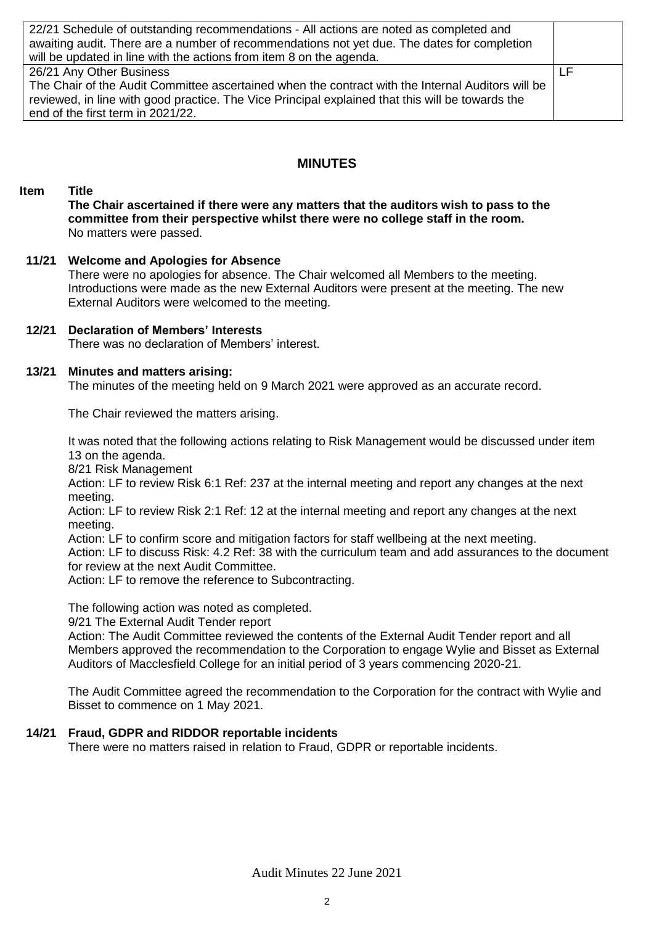| 22/21 Schedule of outstanding recommendations - All actions are noted as completed and            |    |
|---------------------------------------------------------------------------------------------------|----|
| awaiting audit. There are a number of recommendations not yet due. The dates for completion       |    |
| will be updated in line with the actions from item 8 on the agenda.                               |    |
| 26/21 Any Other Business                                                                          | LF |
| The Chair of the Audit Committee ascertained when the contract with the Internal Auditors will be |    |
| reviewed, in line with good practice. The Vice Principal explained that this will be towards the  |    |
| end of the first term in 2021/22.                                                                 |    |

## **MINUTES**

### **Item Title**

**The Chair ascertained if there were any matters that the auditors wish to pass to the committee from their perspective whilst there were no college staff in the room.** No matters were passed.

#### **11/21 Welcome and Apologies for Absence**

There were no apologies for absence. The Chair welcomed all Members to the meeting. Introductions were made as the new External Auditors were present at the meeting. The new External Auditors were welcomed to the meeting.

#### **12/21 Declaration of Members' Interests**

There was no declaration of Members' interest.

#### **13/21 Minutes and matters arising:**

The minutes of the meeting held on 9 March 2021 were approved as an accurate record.

The Chair reviewed the matters arising.

It was noted that the following actions relating to Risk Management would be discussed under item 13 on the agenda.

8/21 Risk Management

Action: LF to review Risk 6:1 Ref: 237 at the internal meeting and report any changes at the next meeting.

Action: LF to review Risk 2:1 Ref: 12 at the internal meeting and report any changes at the next meeting.

Action: LF to confirm score and mitigation factors for staff wellbeing at the next meeting.

Action: LF to discuss Risk: 4.2 Ref: 38 with the curriculum team and add assurances to the document for review at the next Audit Committee.

Action: LF to remove the reference to Subcontracting.

The following action was noted as completed.

9/21 The External Audit Tender report

Action: The Audit Committee reviewed the contents of the External Audit Tender report and all Members approved the recommendation to the Corporation to engage Wylie and Bisset as External Auditors of Macclesfield College for an initial period of 3 years commencing 2020-21.

The Audit Committee agreed the recommendation to the Corporation for the contract with Wylie and Bisset to commence on 1 May 2021.

### **14/21 Fraud, GDPR and RIDDOR reportable incidents**

There were no matters raised in relation to Fraud, GDPR or reportable incidents.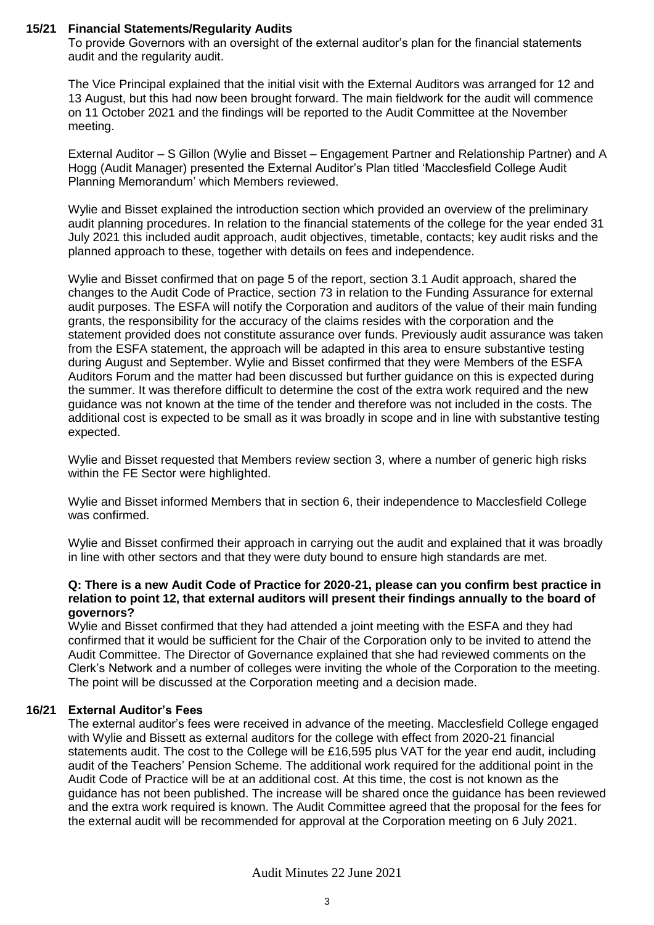#### **15/21 Financial Statements/Regularity Audits**

To provide Governors with an oversight of the external auditor's plan for the financial statements audit and the regularity audit.

The Vice Principal explained that the initial visit with the External Auditors was arranged for 12 and 13 August, but this had now been brought forward. The main fieldwork for the audit will commence on 11 October 2021 and the findings will be reported to the Audit Committee at the November meeting.

External Auditor – S Gillon (Wylie and Bisset – Engagement Partner and Relationship Partner) and A Hogg (Audit Manager) presented the External Auditor's Plan titled 'Macclesfield College Audit Planning Memorandum' which Members reviewed.

Wylie and Bisset explained the introduction section which provided an overview of the preliminary audit planning procedures. In relation to the financial statements of the college for the year ended 31 July 2021 this included audit approach, audit objectives, timetable, contacts; key audit risks and the planned approach to these, together with details on fees and independence.

Wylie and Bisset confirmed that on page 5 of the report, section 3.1 Audit approach, shared the changes to the Audit Code of Practice, section 73 in relation to the Funding Assurance for external audit purposes. The ESFA will notify the Corporation and auditors of the value of their main funding grants, the responsibility for the accuracy of the claims resides with the corporation and the statement provided does not constitute assurance over funds. Previously audit assurance was taken from the ESFA statement, the approach will be adapted in this area to ensure substantive testing during August and September. Wylie and Bisset confirmed that they were Members of the ESFA Auditors Forum and the matter had been discussed but further guidance on this is expected during the summer. It was therefore difficult to determine the cost of the extra work required and the new guidance was not known at the time of the tender and therefore was not included in the costs. The additional cost is expected to be small as it was broadly in scope and in line with substantive testing expected.

Wylie and Bisset requested that Members review section 3, where a number of generic high risks within the FE Sector were highlighted.

Wylie and Bisset informed Members that in section 6, their independence to Macclesfield College was confirmed.

Wylie and Bisset confirmed their approach in carrying out the audit and explained that it was broadly in line with other sectors and that they were duty bound to ensure high standards are met.

#### **Q: There is a new Audit Code of Practice for 2020-21, please can you confirm best practice in relation to point 12, that external auditors will present their findings annually to the board of governors?**

Wylie and Bisset confirmed that they had attended a joint meeting with the ESFA and they had confirmed that it would be sufficient for the Chair of the Corporation only to be invited to attend the Audit Committee. The Director of Governance explained that she had reviewed comments on the Clerk's Network and a number of colleges were inviting the whole of the Corporation to the meeting. The point will be discussed at the Corporation meeting and a decision made.

### **16/21 External Auditor's Fees**

The external auditor's fees were received in advance of the meeting. Macclesfield College engaged with Wylie and Bissett as external auditors for the college with effect from 2020-21 financial statements audit. The cost to the College will be £16,595 plus VAT for the year end audit, including audit of the Teachers' Pension Scheme. The additional work required for the additional point in the Audit Code of Practice will be at an additional cost. At this time, the cost is not known as the guidance has not been published. The increase will be shared once the guidance has been reviewed and the extra work required is known. The Audit Committee agreed that the proposal for the fees for the external audit will be recommended for approval at the Corporation meeting on 6 July 2021.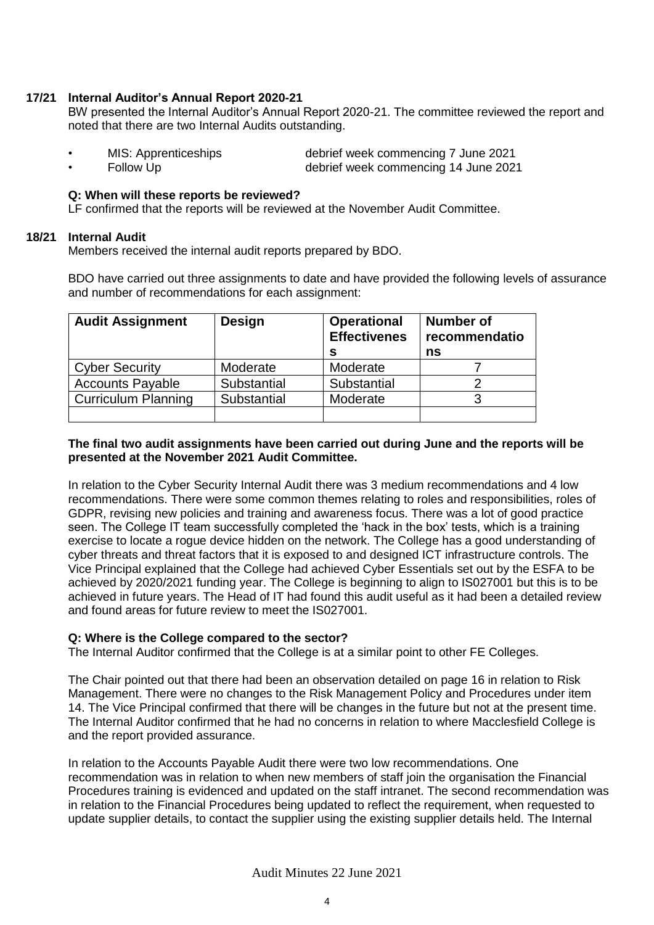#### **17/21 Internal Auditor's Annual Report 2020-21**

BW presented the Internal Auditor's Annual Report 2020-21. The committee reviewed the report and noted that there are two Internal Audits outstanding.

- MIS: Apprenticeships debrief week commencing 7 June 2021 • Follow Up debrief week commencing 14 June 2021
- 

### **Q: When will these reports be reviewed?**

LF confirmed that the reports will be reviewed at the November Audit Committee.

#### **18/21 Internal Audit**

Members received the internal audit reports prepared by BDO.

BDO have carried out three assignments to date and have provided the following levels of assurance and number of recommendations for each assignment:

| <b>Audit Assignment</b>    | <b>Design</b> | <b>Operational</b><br><b>Effectivenes</b><br>s | <b>Number of</b><br>recommendatio<br>ns |
|----------------------------|---------------|------------------------------------------------|-----------------------------------------|
| <b>Cyber Security</b>      | Moderate      | Moderate                                       |                                         |
| <b>Accounts Payable</b>    | Substantial   | Substantial                                    |                                         |
| <b>Curriculum Planning</b> | Substantial   | Moderate                                       |                                         |
|                            |               |                                                |                                         |

#### **The final two audit assignments have been carried out during June and the reports will be presented at the November 2021 Audit Committee.**

In relation to the Cyber Security Internal Audit there was 3 medium recommendations and 4 low recommendations. There were some common themes relating to roles and responsibilities, roles of GDPR, revising new policies and training and awareness focus. There was a lot of good practice seen. The College IT team successfully completed the 'hack in the box' tests, which is a training exercise to locate a rogue device hidden on the network. The College has a good understanding of cyber threats and threat factors that it is exposed to and designed ICT infrastructure controls. The Vice Principal explained that the College had achieved Cyber Essentials set out by the ESFA to be achieved by 2020/2021 funding year. The College is beginning to align to IS027001 but this is to be achieved in future years. The Head of IT had found this audit useful as it had been a detailed review and found areas for future review to meet the IS027001.

### **Q: Where is the College compared to the sector?**

The Internal Auditor confirmed that the College is at a similar point to other FE Colleges.

The Chair pointed out that there had been an observation detailed on page 16 in relation to Risk Management. There were no changes to the Risk Management Policy and Procedures under item 14. The Vice Principal confirmed that there will be changes in the future but not at the present time. The Internal Auditor confirmed that he had no concerns in relation to where Macclesfield College is and the report provided assurance.

In relation to the Accounts Payable Audit there were two low recommendations. One recommendation was in relation to when new members of staff join the organisation the Financial Procedures training is evidenced and updated on the staff intranet. The second recommendation was in relation to the Financial Procedures being updated to reflect the requirement, when requested to update supplier details, to contact the supplier using the existing supplier details held. The Internal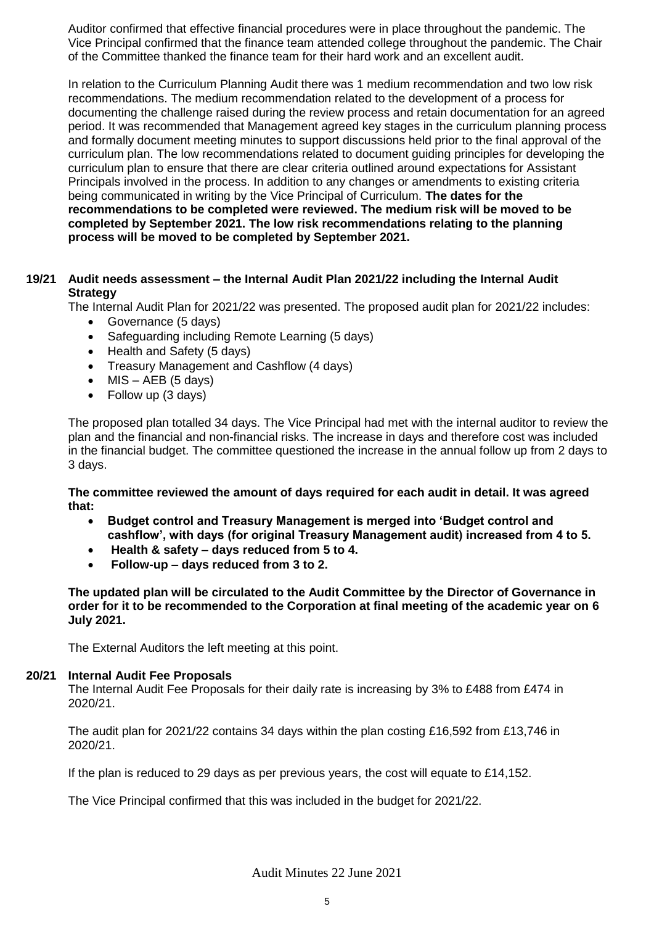Auditor confirmed that effective financial procedures were in place throughout the pandemic. The Vice Principal confirmed that the finance team attended college throughout the pandemic. The Chair of the Committee thanked the finance team for their hard work and an excellent audit.

In relation to the Curriculum Planning Audit there was 1 medium recommendation and two low risk recommendations. The medium recommendation related to the development of a process for documenting the challenge raised during the review process and retain documentation for an agreed period. It was recommended that Management agreed key stages in the curriculum planning process and formally document meeting minutes to support discussions held prior to the final approval of the curriculum plan. The low recommendations related to document guiding principles for developing the curriculum plan to ensure that there are clear criteria outlined around expectations for Assistant Principals involved in the process. In addition to any changes or amendments to existing criteria being communicated in writing by the Vice Principal of Curriculum. **The dates for the recommendations to be completed were reviewed. The medium risk will be moved to be completed by September 2021. The low risk recommendations relating to the planning process will be moved to be completed by September 2021.** 

#### **19/21 Audit needs assessment – the Internal Audit Plan 2021/22 including the Internal Audit Strategy**

The Internal Audit Plan for 2021/22 was presented. The proposed audit plan for 2021/22 includes:

- Governance (5 days)
- Safeguarding including Remote Learning (5 days)
- Health and Safety (5 days)
- Treasury Management and Cashflow (4 days)
- $\bullet$  MIS AEB (5 days)
- Follow up (3 days)

The proposed plan totalled 34 days. The Vice Principal had met with the internal auditor to review the plan and the financial and non-financial risks. The increase in days and therefore cost was included in the financial budget. The committee questioned the increase in the annual follow up from 2 days to 3 days.

**The committee reviewed the amount of days required for each audit in detail. It was agreed that:** 

- **Budget control and Treasury Management is merged into 'Budget control and cashflow', with days (for original Treasury Management audit) increased from 4 to 5.**
- **Health & safety – days reduced from 5 to 4.**
- **Follow-up – days reduced from 3 to 2.**

**The updated plan will be circulated to the Audit Committee by the Director of Governance in order for it to be recommended to the Corporation at final meeting of the academic year on 6 July 2021.** 

The External Auditors the left meeting at this point.

#### **20/21 Internal Audit Fee Proposals**

The Internal Audit Fee Proposals for their daily rate is increasing by 3% to £488 from £474 in 2020/21.

The audit plan for 2021/22 contains 34 days within the plan costing £16,592 from £13,746 in 2020/21.

If the plan is reduced to 29 days as per previous years, the cost will equate to £14,152.

The Vice Principal confirmed that this was included in the budget for 2021/22.

Audit Minutes 22 June 2021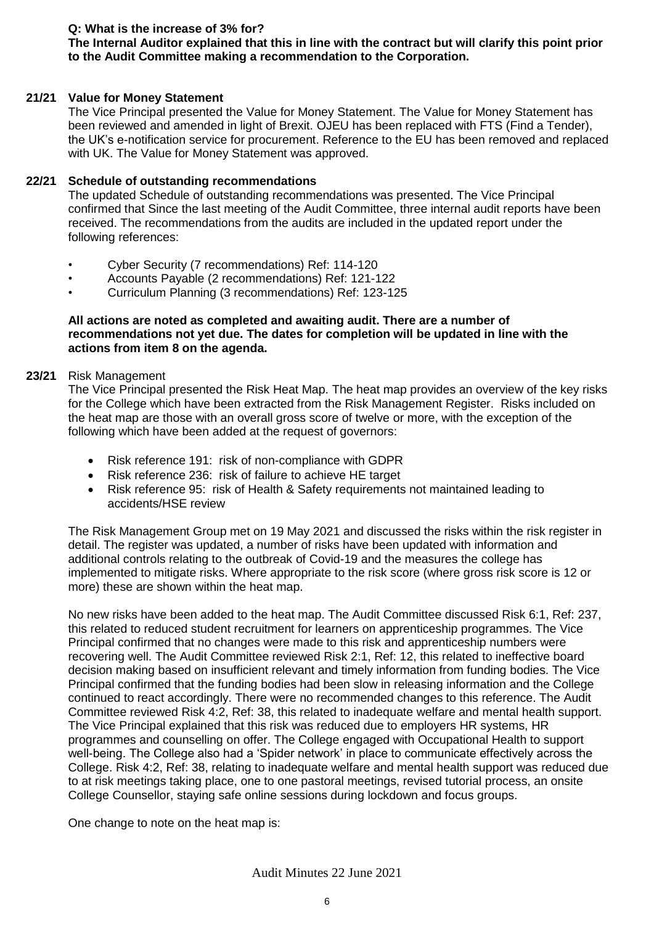### **Q: What is the increase of 3% for?**

## **The Internal Auditor explained that this in line with the contract but will clarify this point prior to the Audit Committee making a recommendation to the Corporation.**

#### **21/21 Value for Money Statement**

The Vice Principal presented the Value for Money Statement. The Value for Money Statement has been reviewed and amended in light of Brexit. OJEU has been replaced with FTS (Find a Tender), the UK's e-notification service for procurement. Reference to the EU has been removed and replaced with UK. The Value for Money Statement was approved.

#### **22/21 Schedule of outstanding recommendations**

The updated Schedule of outstanding recommendations was presented. The Vice Principal confirmed that Since the last meeting of the Audit Committee, three internal audit reports have been received. The recommendations from the audits are included in the updated report under the following references:

- Cyber Security (7 recommendations) Ref: 114-120
- Accounts Payable (2 recommendations) Ref: 121-122
- Curriculum Planning (3 recommendations) Ref: 123-125

#### **All actions are noted as completed and awaiting audit. There are a number of recommendations not yet due. The dates for completion will be updated in line with the actions from item 8 on the agenda.**

#### **23/21** Risk Management

The Vice Principal presented the Risk Heat Map. The heat map provides an overview of the key risks for the College which have been extracted from the Risk Management Register. Risks included on the heat map are those with an overall gross score of twelve or more, with the exception of the following which have been added at the request of governors:

- Risk reference 191: risk of non-compliance with GDPR
- Risk reference 236: risk of failure to achieve HE target
- Risk reference 95: risk of Health & Safety requirements not maintained leading to accidents/HSE review

The Risk Management Group met on 19 May 2021 and discussed the risks within the risk register in detail. The register was updated, a number of risks have been updated with information and additional controls relating to the outbreak of Covid-19 and the measures the college has implemented to mitigate risks. Where appropriate to the risk score (where gross risk score is 12 or more) these are shown within the heat map.

No new risks have been added to the heat map. The Audit Committee discussed Risk 6:1, Ref: 237, this related to reduced student recruitment for learners on apprenticeship programmes. The Vice Principal confirmed that no changes were made to this risk and apprenticeship numbers were recovering well. The Audit Committee reviewed Risk 2:1, Ref: 12, this related to ineffective board decision making based on insufficient relevant and timely information from funding bodies. The Vice Principal confirmed that the funding bodies had been slow in releasing information and the College continued to react accordingly. There were no recommended changes to this reference. The Audit Committee reviewed Risk 4:2, Ref: 38, this related to inadequate welfare and mental health support. The Vice Principal explained that this risk was reduced due to employers HR systems, HR programmes and counselling on offer. The College engaged with Occupational Health to support well-being. The College also had a 'Spider network' in place to communicate effectively across the College. Risk 4:2, Ref: 38, relating to inadequate welfare and mental health support was reduced due to at risk meetings taking place, one to one pastoral meetings, revised tutorial process, an onsite College Counsellor, staying safe online sessions during lockdown and focus groups.

One change to note on the heat map is: